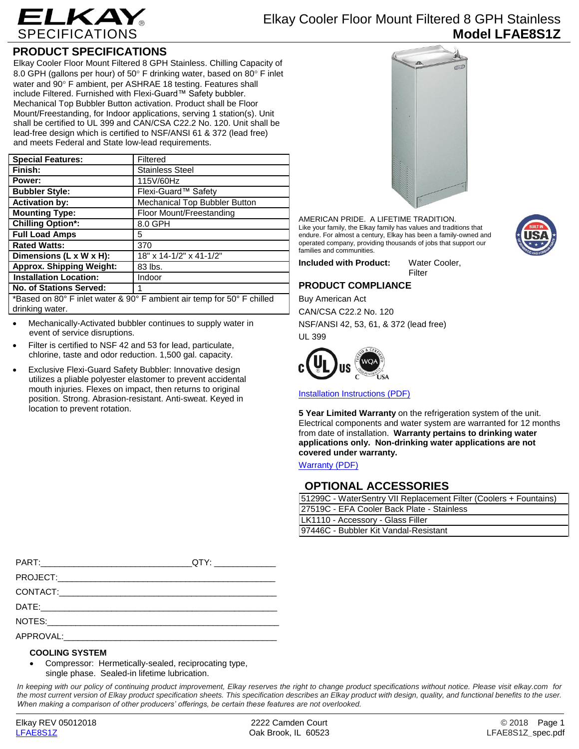

# Elkay Cooler Floor Mount Filtered 8 GPH Stainless **Model LFAE8S1Z**

## **PRODUCT SPECIFICATIONS**

Elkay Cooler Floor Mount Filtered 8 GPH Stainless. Chilling Capacity of 8.0 GPH (gallons per hour) of 50° F drinking water, based on 80° F inlet water and 90° F ambient, per ASHRAE 18 testing. Features shall include Filtered. Furnished with Flexi-Guard™ Safety bubbler. Mechanical Top Bubbler Button activation. Product shall be Floor Mount/Freestanding, for Indoor applications, serving 1 station(s). Unit shall be certified to UL 399 and CAN/CSA C22.2 No. 120. Unit shall be lead-free design which is certified to NSF/ANSI 61 & 372 (lead free) and meets Federal and State low-lead requirements.

| <b>Special Features:</b>                                                                                                                                                                                                                                                                                                                                                                                                                                                             | Filtered                      |
|--------------------------------------------------------------------------------------------------------------------------------------------------------------------------------------------------------------------------------------------------------------------------------------------------------------------------------------------------------------------------------------------------------------------------------------------------------------------------------------|-------------------------------|
| Finish:                                                                                                                                                                                                                                                                                                                                                                                                                                                                              | <b>Stainless Steel</b>        |
| Power:                                                                                                                                                                                                                                                                                                                                                                                                                                                                               | 115V/60Hz                     |
| <b>Bubbler Style:</b>                                                                                                                                                                                                                                                                                                                                                                                                                                                                | Flexi-Guard™ Safety           |
| <b>Activation by:</b>                                                                                                                                                                                                                                                                                                                                                                                                                                                                | Mechanical Top Bubbler Button |
| <b>Mounting Type:</b>                                                                                                                                                                                                                                                                                                                                                                                                                                                                | Floor Mount/Freestanding      |
| <b>Chilling Option*:</b>                                                                                                                                                                                                                                                                                                                                                                                                                                                             | 8.0 GPH                       |
| <b>Full Load Amps</b>                                                                                                                                                                                                                                                                                                                                                                                                                                                                | 5                             |
| <b>Rated Watts:</b>                                                                                                                                                                                                                                                                                                                                                                                                                                                                  | 370                           |
| Dimensions (L x W x H):                                                                                                                                                                                                                                                                                                                                                                                                                                                              | 18" x 14-1/2" x 41-1/2"       |
| <b>Approx. Shipping Weight:</b>                                                                                                                                                                                                                                                                                                                                                                                                                                                      | 83 lbs.                       |
| <b>Installation Location:</b>                                                                                                                                                                                                                                                                                                                                                                                                                                                        | Indoor                        |
| <b>No. of Stations Served:</b>                                                                                                                                                                                                                                                                                                                                                                                                                                                       |                               |
| $+$ $\blacksquare$ $\blacksquare$ $\blacksquare$ $\blacksquare$ $\blacksquare$ $\blacksquare$ $\blacksquare$ $\blacksquare$ $\blacksquare$ $\blacksquare$ $\blacksquare$ $\blacksquare$ $\blacksquare$ $\blacksquare$ $\blacksquare$ $\blacksquare$ $\blacksquare$ $\blacksquare$ $\blacksquare$ $\blacksquare$ $\blacksquare$ $\blacksquare$ $\blacksquare$ $\blacksquare$ $\blacksquare$ $\blacksquare$ $\blacksquare$ $\blacksquare$ $\blacksquare$ $\blacksquare$ $\blacksquare$ |                               |

\*Based on 80° F inlet water & 90° F ambient air temp for 50° F chilled drinking water.

- Mechanically-Activated bubbler continues to supply water in event of service disruptions.
- Filter is certified to NSF 42 and 53 for lead, particulate, chlorine, taste and odor reduction. 1,500 gal. capacity.
- Exclusive Flexi-Guard Safety Bubbler: Innovative design utilizes a pliable polyester elastomer to prevent accidental mouth injuries. Flexes on impact, then returns to original position. Strong. Abrasion-resistant. Anti-sweat. Keyed in location to prevent rotation.



AMERICAN PRIDE. A LIFETIME TRADITION. Like your family, the Elkay family has values and traditions that endure. For almost a century, Elkay has been a family-owned and operated company, providing thousands of jobs that support our families and communities.

**Included with Product:** Water Cooler, Filter

### **PRODUCT COMPLIANCE**

Buy American Act CAN/CSA C22.2 No. 120 NSF/ANSI 42, 53, 61, & 372 (lead free) UL 399



[Installation Instructions \(PDF\)](http://www.elkay.com/wcsstore/lkdocs/care-cleaning-install-warranty-sheets/98930c.pdf)

**5 Year Limited Warranty** on the refrigeration system of the unit. Electrical components and water system are warranted for 12 months from date of installation. **Warranty pertains to drinking water applications only. Non-drinking water applications are not covered under warranty.**

[Warranty](http://www.elkay.com/wcsstore/lkdocs/care-cleaning-install-warranty-sheets/96993c.pdf) (PDF)

### **OPTIONAL ACCESSORIES**

| 51299C - WaterSentry VII Replacement Filter (Coolers + Fountains) |  |  |
|-------------------------------------------------------------------|--|--|
| 27519C - EFA Cooler Back Plate - Stainless                        |  |  |
| LK1110 - Accessory - Glass Filler                                 |  |  |
| 97446C - Bubbler Kit Vandal-Resistant                             |  |  |
|                                                                   |  |  |

| __QTY: __________________ |
|---------------------------|
|                           |
|                           |
|                           |
|                           |
|                           |

### **COOLING SYSTEM**

 Compressor: Hermetically-sealed, reciprocating type, single phase. Sealed-in lifetime lubrication.

*In keeping with our policy of continuing product improvement, Elkay reserves the right to change product specifications without notice. Please visit elkay.com for the most current version of Elkay product specification sheets. This specification describes an Elkay product with design, quality, and functional benefits to the user. When making a comparison of other producers' offerings, be certain these features are not overlooked.*

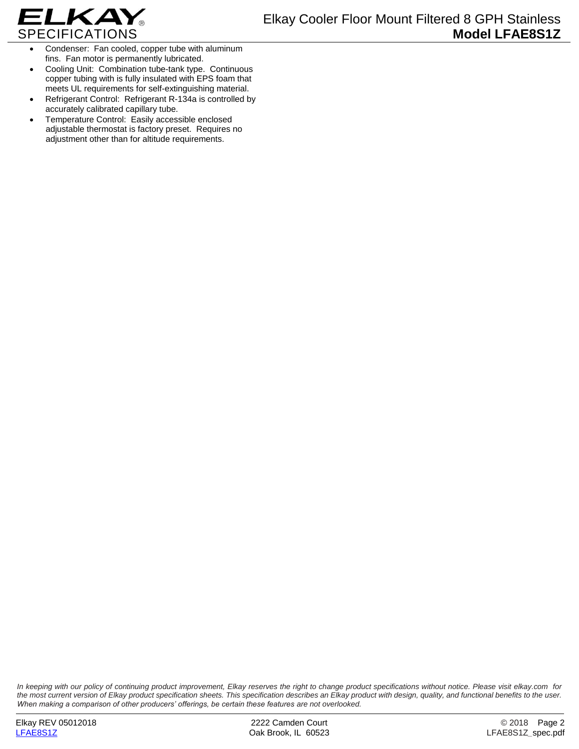

- Condenser: Fan cooled, copper tube with aluminum fins. Fan motor is permanently lubricated.
- Cooling Unit: Combination tube-tank type. Continuous copper tubing with is fully insulated with EPS foam that meets UL requirements for self-extinguishing material.
- Refrigerant Control: Refrigerant R-134a is controlled by accurately calibrated capillary tube.
- Temperature Control: Easily accessible enclosed adjustable thermostat is factory preset. Requires no adjustment other than for altitude requirements.

*In keeping with our policy of continuing product improvement, Elkay reserves the right to change product specifications without notice. Please visit elkay.com for the most current version of Elkay product specification sheets. This specification describes an Elkay product with design, quality, and functional benefits to the user. When making a comparison of other producers' offerings, be certain these features are not overlooked.*